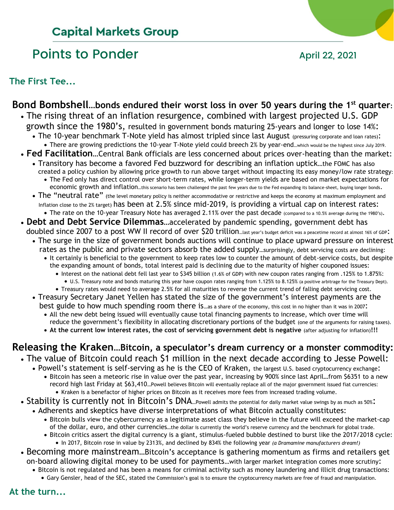# **Capital Markets Group**

# Points to Ponder April 22, 2021

**The First Tee...**

# **Bond Bombshell…bonds endured their worst loss in over 50 years during the 1st quarter:**

- The rising threat of an inflation resurgence, combined with largest projected U.S. GDP growth since the 1980's, resulted in government bonds maturing 25-years and longer to lose 14%:
	- The 10-year benchmark T-Note yield has almost tripled since last August (pressuring corporate and loan rates): • There are growing predictions the 10-year T-Note yield could breech 2% by year-end...which would be the highest since July 2019.
- **Fed Facilitation**…Central Bank officials are less concerned about prices over-heating than the market:
	- Transitory has become a favored Fed buzzword for describing an inflation uptick…the FOMC has also created a policy cushion by allowing price growth to run above target without impacting its easy money/low rate strategy: • The Fed only has direct control over short-term rates, while longer-term yields are based on market expectations for economic growth and inflation…this scenario has been challenged the past few years due to the Fed expanding its balance-sheet, buying longer bonds.
	- The "neutral rate" (the level monetary policy is neither accommodative or restrictive and keeps the economy at maximum employment and Inflation close to the 2% target) has been at 2.5% since mid-2019, is providing a virtual cap on interest rates: • The rate on the 10-year Treasury Note has averaged 2.11% over the past decade (compared to a 10.5% average during the 1980's).
- **Debt and Debt Service Dilemmas**…accelerated by pandemic spending, government debt has doubled since 2007 to a post WW II record of over \$20 trillion...last year's budget deficit was a peacetime record at almost 16% of GDP:
	- The surge in the size of government bonds auctions will continue to place upward pressure on interest rates as the public and private sectors absorb the added supply...surprisingly, debt servicing costs are declining:
		- It certainly is beneficial to the government to keep rates low to counter the amount of debt-service costs, but despite the expanding amount of bonds, total interest paid is declining due to the maturity of higher couponed issues:
			- Interest on the national debt fell last year to \$345 billion (1.6% of GDP) with new coupon rates ranging from .125% to 1.875%: • U.S. Treasury note and bonds maturing this year have coupon rates ranging from 1.125% to 8.125% (a positive arbitrage for the Treasury Dept).
			- Treasury rates would need to average 2.5% for all maturities to reverse the current trend of falling debt servicing cost.
	- Treasury Secretary Janet Yellen has stated the size of the government's interest payments are the best guide to how much spending room there is ...as a share of the economy, this cost in no higher than it was in 2007:
		- All the new debt being issued will eventually cause total financing payments to increase, which over time will reduce the government's flexibility in allocating discretionary portions of the budget (one of the arguments for raising taxes).
		- **At the current low interest rates, the cost of servicing government debt is negative** (after adjusting for inflation)**!!!**

# **Releasing the Kraken…Bitcoin, a speculator's dream currency or a monster commodity:** • The value of Bitcoin could reach \$1 million in the next decade according to Jesse Powell:

- - Powell's statement is self-serving as he is the CEO of Kraken, the largest U.S. based cryptocurrency exchange: • Bitcoin has seen a meteoric rise in value over the past year, increasing by 900% since last April…from \$6351 to a new record high last Friday at \$63,410…Powell believes Bitcoin will eventually replace all of the major government issued fiat currencies: • Kraken is a benefactor of higher prices on Bitcoin as it receives more fees from increased trading volume.
- Stability is currently not in Bitcoin's DNA...Powell admits the potential for daily market value swings by as much as 50%:
	- Adherents and skeptics have diverse interpretations of what Bitcoin actually constitutes:
		- Bitcoin bulls view the cybercurrency as a legitimate asset class they believe in the future will exceed the market-cap of the dollar, euro, and other currencies…the dollar is currently the world's reserve currency and the benchmark for global trade.
		- Bitcoin critics assert the digital currency is a giant, stimulus-fueled bubble destined to burst like the 2017/2018 cycle: • In 2017, Bitcoin rose in value by 2313%, and declined by 834% the following year *(a Dramamine manufacturers dream!)*
- Becoming more mainstream…Bitcoin's acceptance is gathering momentum as firms and retailers get on-board allowing digital money to be used for payments…with larger market integration comes more scrutiny:
	- Bitcoin is not regulated and has been a means for criminal activity such as money laundering and illicit drug transactions: • Gary Gensler, head of the SEC, stated the Commission's goal is to ensure the cryptocurrency markets are free of fraud and manipulation.
- **At the turn...**